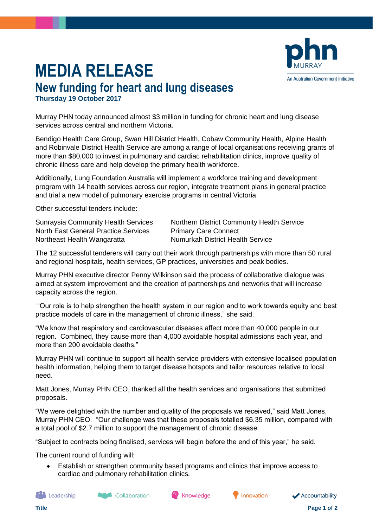## **MEDIA RELEASE**



**Thursday 19 October 2017**

Murray PHN today announced almost \$3 million in funding for chronic heart and lung disease services across central and northern Victoria.

Bendigo Health Care Group, Swan Hill District Health, Cobaw Community Health, Alpine Health and Robinvale District Health Service are among a range of local organisations receiving grants of more than \$80,000 to invest in pulmonary and cardiac rehabilitation clinics, improve quality of chronic illness care and help develop the primary health workforce.

Additionally, Lung Foundation Australia will implement a workforce training and development program with 14 health services across our region, integrate treatment plans in general practice and trial a new model of pulmonary exercise programs in central Victoria.

Other successful tenders include:

North East General Practice Services Primary Care Connect Northeast Health Wangaratta Numurkah District Health Service

Sunraysia Community Health Services Northern District Community Health Service

The 12 successful tenderers will carry out their work through partnerships with more than 50 rural and regional hospitals, health services, GP practices, universities and peak bodies.

Murray PHN executive director Penny Wilkinson said the process of collaborative dialogue was aimed at system improvement and the creation of partnerships and networks that will increase capacity across the region.

"Our role is to help strengthen the health system in our region and to work towards equity and best practice models of care in the management of chronic illness," she said.

"We know that respiratory and cardiovascular diseases affect more than 40,000 people in our region. Combined, they cause more than 4,000 avoidable hospital admissions each year, and more than 200 avoidable deaths."

Murray PHN will continue to support all health service providers with extensive localised population health information, helping them to target disease hotspots and tailor resources relative to local need.

Matt Jones, Murray PHN CEO, thanked all the health services and organisations that submitted proposals.

"We were delighted with the number and quality of the proposals we received," said Matt Jones, Murray PHN CEO. "Our challenge was that these proposals totalled \$6.35 million, compared with a total pool of \$2.7 million to support the management of chronic disease.

"Subject to contracts being finalised, services will begin before the end of this year," he said.

The current round of funding will:

• Establish or strengthen community based programs and clinics that improve access to cardiac and pulmonary rehabilitation clinics.

**Leadership** 

Knowledge

Innovation

**Accountability** 

An Australian Government Initiative